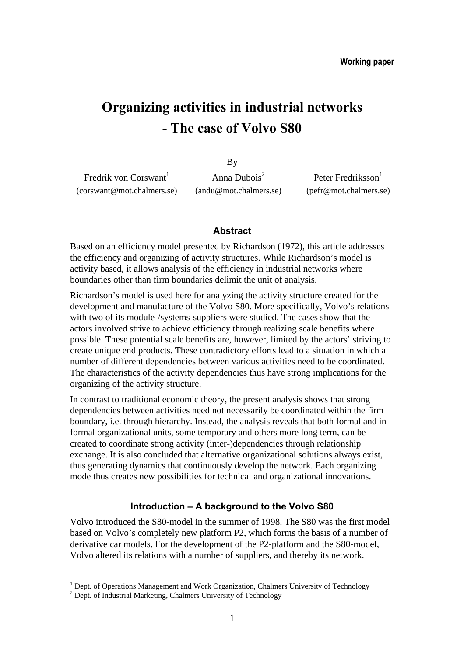# **Organizing activities in industrial networks - The case of Volvo S80**

By

Fredrik von Corswant<sup>1</sup> Anna Dubois<sup>2</sup> (corswant@mot.chalmers.se) (andu@mot.chalmers.se) (pefr@mot.chalmers.se)

Peter Fredriksson $<sup>1</sup>$ </sup>

#### **Abstract**

Based on an efficiency model presented by Richardson (1972), this article addresses the efficiency and organizing of activity structures. While Richardson's model is activity based, it allows analysis of the efficiency in industrial networks where boundaries other than firm boundaries delimit the unit of analysis.

Richardson's model is used here for analyzing the activity structure created for the development and manufacture of the Volvo S80. More specifically, Volvo's relations with two of its module-/systems-suppliers were studied. The cases show that the actors involved strive to achieve efficiency through realizing scale benefits where possible. These potential scale benefits are, however, limited by the actors' striving to create unique end products. These contradictory efforts lead to a situation in which a number of different dependencies between various activities need to be coordinated. The characteristics of the activity dependencies thus have strong implications for the organizing of the activity structure.

In contrast to traditional economic theory, the present analysis shows that strong dependencies between activities need not necessarily be coordinated within the firm boundary, i.e. through hierarchy. Instead, the analysis reveals that both formal and informal organizational units, some temporary and others more long term, can be created to coordinate strong activity (inter-)dependencies through relationship exchange. It is also concluded that alternative organizational solutions always exist, thus generating dynamics that continuously develop the network. Each organizing mode thus creates new possibilities for technical and organizational innovations.

### **Introduction – A background to the Volvo S80**

Volvo introduced the S80-model in the summer of 1998. The S80 was the first model based on Volvo's completely new platform P2, which forms the basis of a number of derivative car models. For the development of the P2-platform and the S80-model, Volvo altered its relations with a number of suppliers, and thereby its network.

 $\overline{a}$ 

<sup>&</sup>lt;sup>1</sup> Dept. of Operations Management and Work Organization, Chalmers University of Technology

<sup>&</sup>lt;sup>2</sup> Dept. of Industrial Marketing, Chalmers University of Technology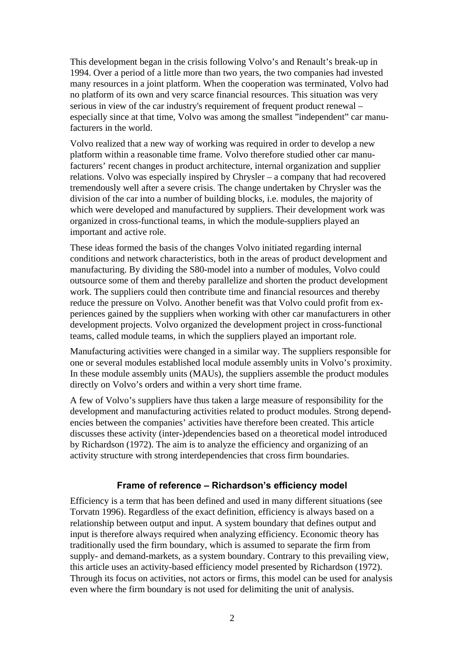This development began in the crisis following Volvo's and Renault's break-up in 1994. Over a period of a little more than two years, the two companies had invested many resources in a joint platform. When the cooperation was terminated, Volvo had no platform of its own and very scarce financial resources. This situation was very serious in view of the car industry's requirement of frequent product renewal – especially since at that time, Volvo was among the smallest "independent" car manufacturers in the world.

Volvo realized that a new way of working was required in order to develop a new platform within a reasonable time frame. Volvo therefore studied other car manufacturers' recent changes in product architecture, internal organization and supplier relations. Volvo was especially inspired by Chrysler – a company that had recovered tremendously well after a severe crisis. The change undertaken by Chrysler was the division of the car into a number of building blocks, i.e. modules, the majority of which were developed and manufactured by suppliers. Their development work was organized in cross-functional teams, in which the module-suppliers played an important and active role.

These ideas formed the basis of the changes Volvo initiated regarding internal conditions and network characteristics, both in the areas of product development and manufacturing. By dividing the S80-model into a number of modules, Volvo could outsource some of them and thereby parallelize and shorten the product development work. The suppliers could then contribute time and financial resources and thereby reduce the pressure on Volvo. Another benefit was that Volvo could profit from experiences gained by the suppliers when working with other car manufacturers in other development projects. Volvo organized the development project in cross-functional teams, called module teams, in which the suppliers played an important role.

Manufacturing activities were changed in a similar way. The suppliers responsible for one or several modules established local module assembly units in Volvo's proximity. In these module assembly units (MAUs), the suppliers assemble the product modules directly on Volvo's orders and within a very short time frame.

A few of Volvo's suppliers have thus taken a large measure of responsibility for the development and manufacturing activities related to product modules. Strong dependencies between the companies' activities have therefore been created. This article discusses these activity (inter-)dependencies based on a theoretical model introduced by Richardson (1972). The aim is to analyze the efficiency and organizing of an activity structure with strong interdependencies that cross firm boundaries.

# **Frame of reference – Richardson's efficiency model**

Efficiency is a term that has been defined and used in many different situations (see Torvatn 1996). Regardless of the exact definition, efficiency is always based on a relationship between output and input. A system boundary that defines output and input is therefore always required when analyzing efficiency. Economic theory has traditionally used the firm boundary, which is assumed to separate the firm from supply- and demand-markets, as a system boundary. Contrary to this prevailing view, this article uses an activity-based efficiency model presented by Richardson (1972). Through its focus on activities, not actors or firms, this model can be used for analysis even where the firm boundary is not used for delimiting the unit of analysis.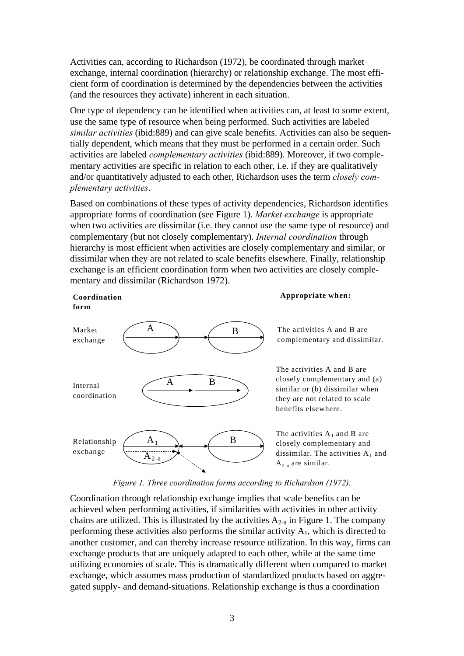Activities can, according to Richardson (1972), be coordinated through market exchange, internal coordination (hierarchy) or relationship exchange. The most efficient form of coordination is determined by the dependencies between the activities (and the resources they activate) inherent in each situation.

One type of dependency can be identified when activities can, at least to some extent, use the same type of resource when being performed. Such activities are labeled *similar activities* (ibid:889) and can give scale benefits. Activities can also be sequentially dependent, which means that they must be performed in a certain order. Such activities are labeled *complementary activities* (ibid:889). Moreover, if two complementary activities are specific in relation to each other, i.e. if they are qualitatively and/or quantitatively adjusted to each other, Richardson uses the term *closely complementary activities*.

Based on combinations of these types of activity dependencies, Richardson identifies appropriate forms of coordination (see Figure 1). *Market exchange* is appropriate when two activities are dissimilar (i.e. they cannot use the same type of resource) and complementary (but not closely complementary). *Internal coordination* through hierarchy is most efficient when activities are closely complementary and similar, or dissimilar when they are not related to scale benefits elsewhere. Finally, relationship exchange is an efficient coordination form when two activities are closely complementary and dissimilar (Richardson 1972).



**Coordination** 

**form**

#### **Appropriate when:**

The activities A and B are complementary and dissimilar.

The activities A and B are closely complementary and (a) similar or (b) dissimilar when they are not related to scale benefits elsewhere.

The activities  $\mathrm{A}_1$  and  $\mathrm{B}$  are closely complementary and dissimilar. The activities  $A_1$  and  $A_{2-n}$  are similar.

#### *Figure 1. Three coordination forms according to Richardson (1972).*

Coordination through relationship exchange implies that scale benefits can be achieved when performing activities, if similarities with activities in other activity chains are utilized. This is illustrated by the activities  $A_{2-n}$  in Figure 1. The company performing these activities also performs the similar activity  $A<sub>1</sub>$ , which is directed to another customer, and can thereby increase resource utilization. In this way, firms can exchange products that are uniquely adapted to each other, while at the same time utilizing economies of scale. This is dramatically different when compared to market exchange, which assumes mass production of standardized products based on aggregated supply- and demand-situations. Relationship exchange is thus a coordination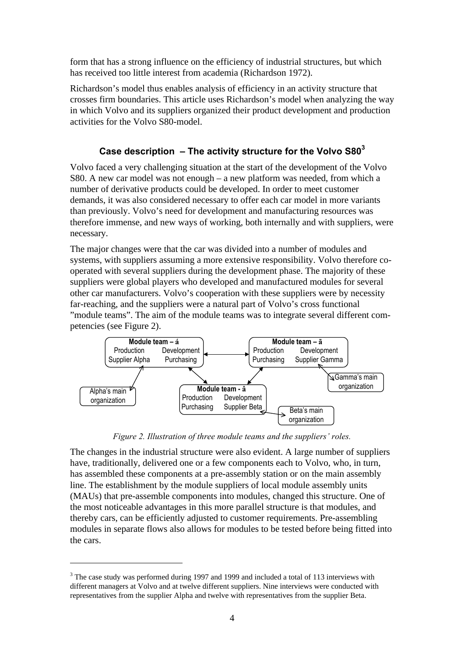form that has a strong influence on the efficiency of industrial structures, but which has received too little interest from academia (Richardson 1972).

Richardson's model thus enables analysis of efficiency in an activity structure that crosses firm boundaries. This article uses Richardson's model when analyzing the way in which Volvo and its suppliers organized their product development and production activities for the Volvo S80-model.

# **Case description – The activity structure for the Volvo S80<sup>3</sup>**

Volvo faced a very challenging situation at the start of the development of the Volvo S80. A new car model was not enough – a new platform was needed, from which a number of derivative products could be developed. In order to meet customer demands, it was also considered necessary to offer each car model in more variants than previously. Volvo's need for development and manufacturing resources was therefore immense, and new ways of working, both internally and with suppliers, were necessary.

The major changes were that the car was divided into a number of modules and systems, with suppliers assuming a more extensive responsibility. Volvo therefore cooperated with several suppliers during the development phase. The majority of these suppliers were global players who developed and manufactured modules for several other car manufacturers. Volvo's cooperation with these suppliers were by necessity far-reaching, and the suppliers were a natural part of Volvo's cross functional "module teams". The aim of the module teams was to integrate several different competencies (see Figure 2).



*Figure 2. Illustration of three module teams and the suppliers' roles.*

The changes in the industrial structure were also evident. A large number of suppliers have, traditionally, delivered one or a few components each to Volvo, who, in turn, has assembled these components at a pre-assembly station or on the main assembly line. The establishment by the module suppliers of local module assembly units (MAUs) that pre-assemble components into modules, changed this structure. One of the most noticeable advantages in this more parallel structure is that modules, and thereby cars, can be efficiently adjusted to customer requirements. Pre-assembling modules in separate flows also allows for modules to be tested before being fitted into the cars.

 $\overline{a}$ 

 $3$  The case study was performed during 1997 and 1999 and included a total of 113 interviews with different managers at Volvo and at twelve different suppliers. Nine interviews were conducted with representatives from the supplier Alpha and twelve with representatives from the supplier Beta.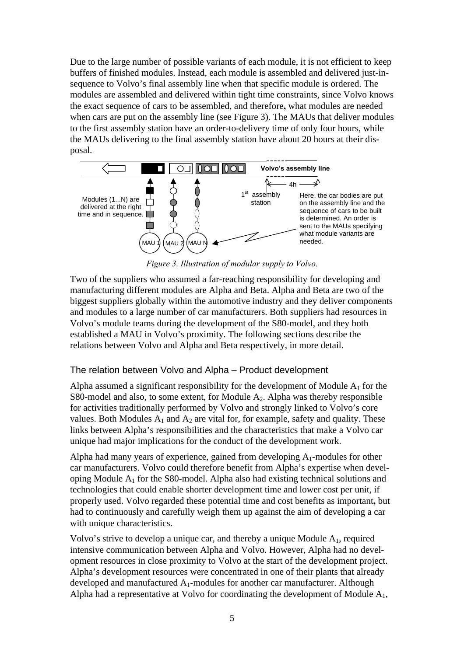Due to the large number of possible variants of each module, it is not efficient to keep buffers of finished modules. Instead, each module is assembled and delivered just-insequence to Volvo's final assembly line when that specific module is ordered. The modules are assembled and delivered within tight time constraints, since Volvo knows the exact sequence of cars to be assembled, and therefore**,** what modules are needed when cars are put on the assembly line (see Figure 3). The MAUs that deliver modules to the first assembly station have an order-to-delivery time of only four hours, while the MAUs delivering to the final assembly station have about 20 hours at their disposal.



*Figure 3. Illustration of modular supply to Volvo.*

Two of the suppliers who assumed a far-reaching responsibility for developing and manufacturing different modules are Alpha and Beta. Alpha and Beta are two of the biggest suppliers globally within the automotive industry and they deliver components and modules to a large number of car manufacturers. Both suppliers had resources in Volvo's module teams during the development of the S80-model, and they both established a MAU in Volvo's proximity. The following sections describe the relations between Volvo and Alpha and Beta respectively, in more detail.

# The relation between Volvo and Alpha – Product development

Alpha assumed a significant responsibility for the development of Module  $A_1$  for the S80-model and also, to some extent, for Module  $A_2$ . Alpha was thereby responsible for activities traditionally performed by Volvo and strongly linked to Volvo's core values. Both Modules  $A_1$  and  $A_2$  are vital for, for example, safety and quality. These links between Alpha's responsibilities and the characteristics that make a Volvo car unique had major implications for the conduct of the development work.

Alpha had many years of experience, gained from developing  $A_1$ -modules for other car manufacturers. Volvo could therefore benefit from Alpha's expertise when developing Module  $A_1$  for the S80-model. Alpha also had existing technical solutions and technologies that could enable shorter development time and lower cost per unit, if properly used. Volvo regarded these potential time and cost benefits as important**,** but had to continuously and carefully weigh them up against the aim of developing a car with unique characteristics.

Volvo's strive to develop a unique car, and thereby a unique Module A1, required intensive communication between Alpha and Volvo. However, Alpha had no development resources in close proximity to Volvo at the start of the development project. Alpha's development resources were concentrated in one of their plants that already developed and manufactured  $A_1$ -modules for another car manufacturer. Although Alpha had a representative at Volvo for coordinating the development of Module  $A_1$ ,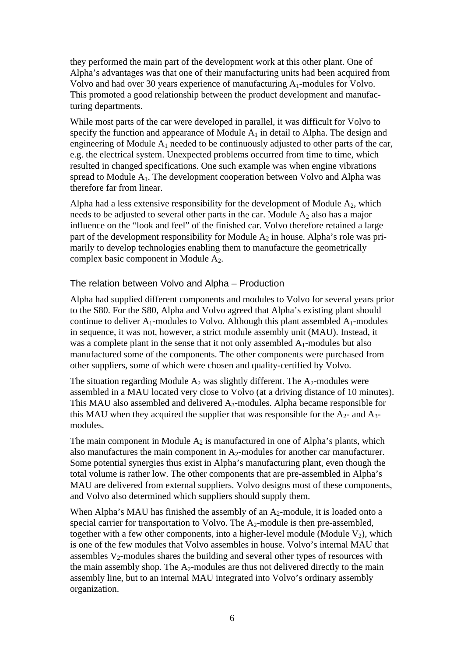they performed the main part of the development work at this other plant. One of Alpha's advantages was that one of their manufacturing units had been acquired from Volvo and had over 30 years experience of manufacturing A1-modules for Volvo. This promoted a good relationship between the product development and manufacturing departments.

While most parts of the car were developed in parallel, it was difficult for Volvo to specify the function and appearance of Module  $A_1$  in detail to Alpha. The design and engineering of Module  $A_1$  needed to be continuously adjusted to other parts of the car, e.g. the electrical system. Unexpected problems occurred from time to time, which resulted in changed specifications. One such example was when engine vibrations spread to Module  $A_1$ . The development cooperation between Volvo and Alpha was therefore far from linear.

Alpha had a less extensive responsibility for the development of Module  $A_2$ , which needs to be adjusted to several other parts in the car. Module  $A_2$  also has a major influence on the "look and feel" of the finished car. Volvo therefore retained a large part of the development responsibility for Module  $A_2$  in house. Alpha's role was primarily to develop technologies enabling them to manufacture the geometrically complex basic component in Module A2.

#### The relation between Volvo and Alpha – Production

Alpha had supplied different components and modules to Volvo for several years prior to the S80. For the S80, Alpha and Volvo agreed that Alpha's existing plant should continue to deliver  $A_1$ -modules to Volvo. Although this plant assembled  $A_1$ -modules in sequence, it was not, however, a strict module assembly unit (MAU). Instead, it was a complete plant in the sense that it not only assembled  $A_1$ -modules but also manufactured some of the components. The other components were purchased from other suppliers, some of which were chosen and quality-certified by Volvo.

The situation regarding Module  $A_2$  was slightly different. The  $A_2$ -modules were assembled in a MAU located very close to Volvo (at a driving distance of 10 minutes). This MAU also assembled and delivered A3-modules. Alpha became responsible for this MAU when they acquired the supplier that was responsible for the  $A_2$ - and  $A_3$ modules.

The main component in Module  $A_2$  is manufactured in one of Alpha's plants, which also manufactures the main component in  $A_2$ -modules for another car manufacturer. Some potential synergies thus exist in Alpha's manufacturing plant, even though the total volume is rather low. The other components that are pre-assembled in Alpha's MAU are delivered from external suppliers. Volvo designs most of these components, and Volvo also determined which suppliers should supply them.

When Alpha's MAU has finished the assembly of an  $A_2$ -module, it is loaded onto a special carrier for transportation to Volvo. The  $A_2$ -module is then pre-assembled, together with a few other components, into a higher-level module (Module  $V_2$ ), which is one of the few modules that Volvo assembles in house. Volvo's internal MAU that assembles  $V_2$ -modules shares the building and several other types of resources with the main assembly shop. The  $A_2$ -modules are thus not delivered directly to the main assembly line, but to an internal MAU integrated into Volvo's ordinary assembly organization.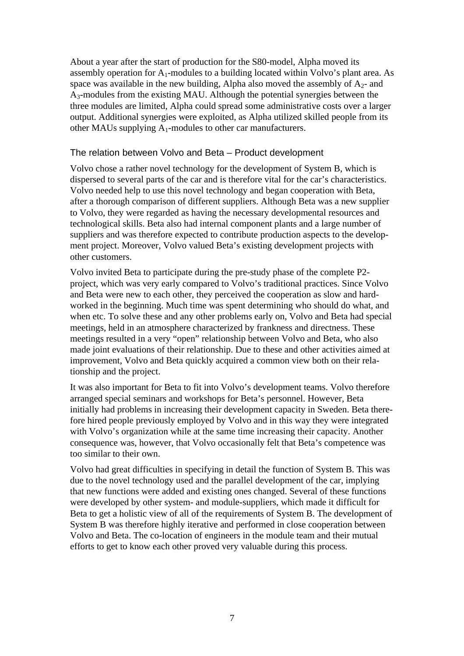About a year after the start of production for the S80-model, Alpha moved its assembly operation for  $A_1$ -modules to a building located within Volvo's plant area. As space was available in the new building, Alpha also moved the assembly of  $A_2$ - and A3-modules from the existing MAU. Although the potential synergies between the three modules are limited, Alpha could spread some administrative costs over a larger output. Additional synergies were exploited, as Alpha utilized skilled people from its other MAUs supplying A1-modules to other car manufacturers.

# The relation between Volvo and Beta – Product development

Volvo chose a rather novel technology for the development of System B, which is dispersed to several parts of the car and is therefore vital for the car's characteristics. Volvo needed help to use this novel technology and began cooperation with Beta, after a thorough comparison of different suppliers. Although Beta was a new supplier to Volvo, they were regarded as having the necessary developmental resources and technological skills. Beta also had internal component plants and a large number of suppliers and was therefore expected to contribute production aspects to the development project. Moreover, Volvo valued Beta's existing development projects with other customers.

Volvo invited Beta to participate during the pre-study phase of the complete P2 project, which was very early compared to Volvo's traditional practices. Since Volvo and Beta were new to each other, they perceived the cooperation as slow and hardworked in the beginning. Much time was spent determining who should do what, and when etc. To solve these and any other problems early on, Volvo and Beta had special meetings, held in an atmosphere characterized by frankness and directness. These meetings resulted in a very "open" relationship between Volvo and Beta, who also made joint evaluations of their relationship. Due to these and other activities aimed at improvement, Volvo and Beta quickly acquired a common view both on their relationship and the project.

It was also important for Beta to fit into Volvo's development teams. Volvo therefore arranged special seminars and workshops for Beta's personnel. However, Beta initially had problems in increasing their development capacity in Sweden. Beta therefore hired people previously employed by Volvo and in this way they were integrated with Volvo's organization while at the same time increasing their capacity. Another consequence was, however, that Volvo occasionally felt that Beta's competence was too similar to their own.

Volvo had great difficulties in specifying in detail the function of System B. This was due to the novel technology used and the parallel development of the car, implying that new functions were added and existing ones changed. Several of these functions were developed by other system- and module-suppliers, which made it difficult for Beta to get a holistic view of all of the requirements of System B. The development of System B was therefore highly iterative and performed in close cooperation between Volvo and Beta. The co-location of engineers in the module team and their mutual efforts to get to know each other proved very valuable during this process.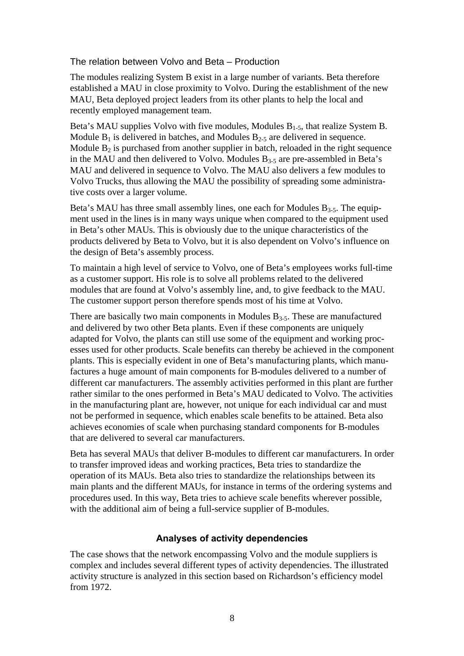The relation between Volvo and Beta – Production

The modules realizing System B exist in a large number of variants. Beta therefore established a MAU in close proximity to Volvo. During the establishment of the new MAU, Beta deployed project leaders from its other plants to help the local and recently employed management team.

Beta's MAU supplies Volvo with five modules, Modules  $B_{1-5}$ , that realize System B. Module  $B_1$  is delivered in batches, and Modules  $B_{2-5}$  are delivered in sequence. Module  $B_2$  is purchased from another supplier in batch, reloaded in the right sequence in the MAU and then delivered to Volvo. Modules  $B_{3-5}$  are pre-assembled in Beta's MAU and delivered in sequence to Volvo. The MAU also delivers a few modules to Volvo Trucks, thus allowing the MAU the possibility of spreading some administrative costs over a larger volume.

Beta's MAU has three small assembly lines, one each for Modules  $B_{3-5}$ . The equipment used in the lines is in many ways unique when compared to the equipment used in Beta's other MAUs. This is obviously due to the unique characteristics of the products delivered by Beta to Volvo, but it is also dependent on Volvo's influence on the design of Beta's assembly process.

To maintain a high level of service to Volvo, one of Beta's employees works full-time as a customer support. His role is to solve all problems related to the delivered modules that are found at Volvo's assembly line, and, to give feedback to the MAU. The customer support person therefore spends most of his time at Volvo.

There are basically two main components in Modules  $B_{3-5}$ . These are manufactured and delivered by two other Beta plants. Even if these components are uniquely adapted for Volvo, the plants can still use some of the equipment and working processes used for other products. Scale benefits can thereby be achieved in the component plants. This is especially evident in one of Beta's manufacturing plants, which manufactures a huge amount of main components for B-modules delivered to a number of different car manufacturers. The assembly activities performed in this plant are further rather similar to the ones performed in Beta's MAU dedicated to Volvo. The activities in the manufacturing plant are, however, not unique for each individual car and must not be performed in sequence, which enables scale benefits to be attained. Beta also achieves economies of scale when purchasing standard components for B-modules that are delivered to several car manufacturers.

Beta has several MAUs that deliver B-modules to different car manufacturers. In order to transfer improved ideas and working practices, Beta tries to standardize the operation of its MAUs. Beta also tries to standardize the relationships between its main plants and the different MAUs, for instance in terms of the ordering systems and procedures used. In this way, Beta tries to achieve scale benefits wherever possible, with the additional aim of being a full-service supplier of B-modules.

# **Analyses of activity dependencies**

The case shows that the network encompassing Volvo and the module suppliers is complex and includes several different types of activity dependencies. The illustrated activity structure is analyzed in this section based on Richardson's efficiency model from 1972.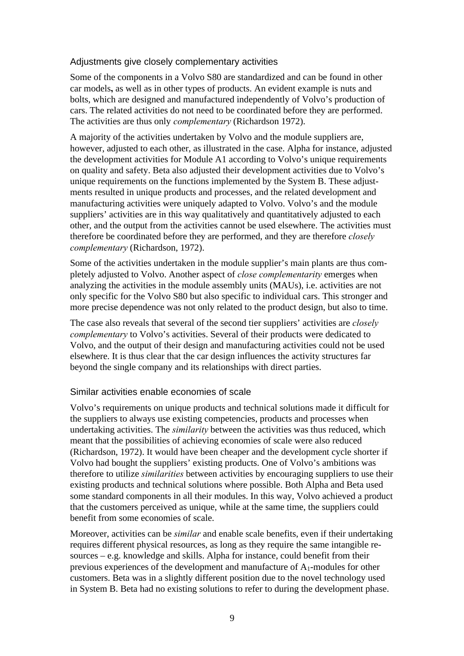# Adjustments give closely complementary activities

Some of the components in a Volvo S80 are standardized and can be found in other car models**,** as well as in other types of products. An evident example is nuts and bolts, which are designed and manufactured independently of Volvo's production of cars. The related activities do not need to be coordinated before they are performed. The activities are thus only *complementary* (Richardson 1972).

A majority of the activities undertaken by Volvo and the module suppliers are, however, adjusted to each other, as illustrated in the case. Alpha for instance, adjusted the development activities for Module A1 according to Volvo's unique requirements on quality and safety. Beta also adjusted their development activities due to Volvo's unique requirements on the functions implemented by the System B. These adjustments resulted in unique products and processes, and the related development and manufacturing activities were uniquely adapted to Volvo. Volvo's and the module suppliers' activities are in this way qualitatively and quantitatively adjusted to each other, and the output from the activities cannot be used elsewhere. The activities must therefore be coordinated before they are performed, and they are therefore *closely complementary* (Richardson, 1972).

Some of the activities undertaken in the module supplier's main plants are thus completely adjusted to Volvo. Another aspect of *close complementarity* emerges when analyzing the activities in the module assembly units (MAUs), i.e. activities are not only specific for the Volvo S80 but also specific to individual cars. This stronger and more precise dependence was not only related to the product design, but also to time.

The case also reveals that several of the second tier suppliers' activities are *closely complementary* to Volvo's activities. Several of their products were dedicated to Volvo, and the output of their design and manufacturing activities could not be used elsewhere. It is thus clear that the car design influences the activity structures far beyond the single company and its relationships with direct parties.

#### Similar activities enable economies of scale

Volvo's requirements on unique products and technical solutions made it difficult for the suppliers to always use existing competencies, products and processes when undertaking activities. The *similarity* between the activities was thus reduced, which meant that the possibilities of achieving economies of scale were also reduced (Richardson, 1972). It would have been cheaper and the development cycle shorter if Volvo had bought the suppliers' existing products. One of Volvo's ambitions was therefore to utilize *similarities* between activities by encouraging suppliers to use their existing products and technical solutions where possible. Both Alpha and Beta used some standard components in all their modules. In this way, Volvo achieved a product that the customers perceived as unique, while at the same time, the suppliers could benefit from some economies of scale.

Moreover, activities can be *similar* and enable scale benefits, even if their undertaking requires different physical resources, as long as they require the same intangible resources – e.g. knowledge and skills. Alpha for instance, could benefit from their previous experiences of the development and manufacture of  $A_1$ -modules for other customers. Beta was in a slightly different position due to the novel technology used in System B. Beta had no existing solutions to refer to during the development phase.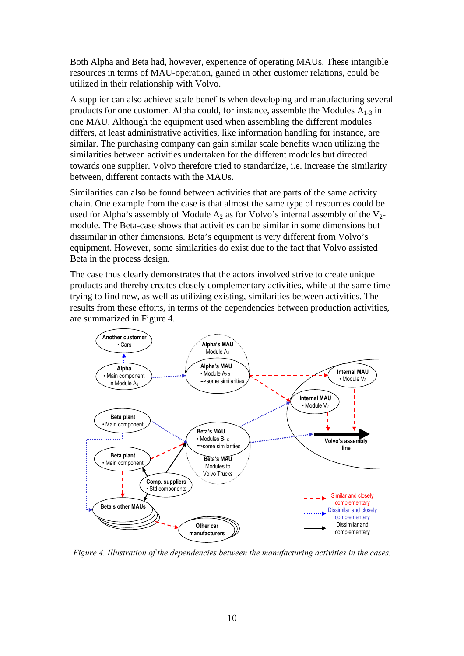Both Alpha and Beta had, however, experience of operating MAUs. These intangible resources in terms of MAU-operation, gained in other customer relations, could be utilized in their relationship with Volvo.

A supplier can also achieve scale benefits when developing and manufacturing several products for one customer. Alpha could, for instance, assemble the Modules  $A_{1-3}$  in one MAU. Although the equipment used when assembling the different modules differs, at least administrative activities, like information handling for instance, are similar. The purchasing company can gain similar scale benefits when utilizing the similarities between activities undertaken for the different modules but directed towards one supplier. Volvo therefore tried to standardize, i.e. increase the similarity between, different contacts with the MAUs.

Similarities can also be found between activities that are parts of the same activity chain. One example from the case is that almost the same type of resources could be used for Alpha's assembly of Module  $A_2$  as for Volvo's internal assembly of the  $V_2$ module. The Beta-case shows that activities can be similar in some dimensions but dissimilar in other dimensions. Beta's equipment is very different from Volvo's equipment. However, some similarities do exist due to the fact that Volvo assisted Beta in the process design.

The case thus clearly demonstrates that the actors involved strive to create unique products and thereby creates closely complementary activities, while at the same time trying to find new, as well as utilizing existing, similarities between activities. The results from these efforts, in terms of the dependencies between production activities, are summarized in Figure 4.



*Figure 4. Illustration of the dependencies between the manufacturing activities in the cases.*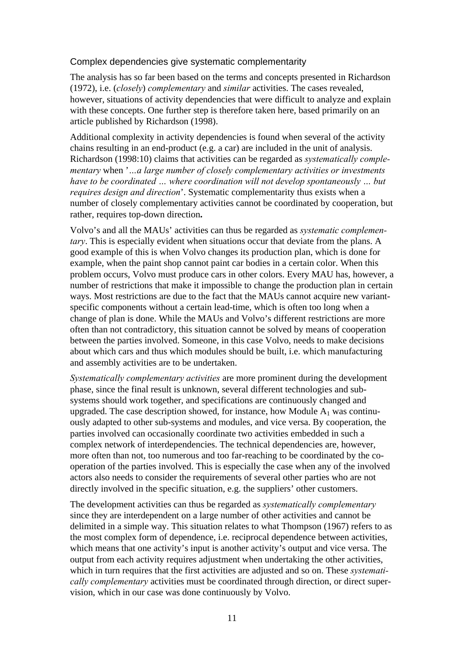## Complex dependencies give systematic complementarity

The analysis has so far been based on the terms and concepts presented in Richardson (1972), i.e. (*closely*) *complementary* and *similar* activities. The cases revealed, however, situations of activity dependencies that were difficult to analyze and explain with these concepts. One further step is therefore taken here, based primarily on an article published by Richardson (1998).

Additional complexity in activity dependencies is found when several of the activity chains resulting in an end-product (e.g. a car) are included in the unit of analysis. Richardson (1998:10) claims that activities can be regarded as *systematically complementary* when '*…a large number of closely complementary activities or investments have to be coordinated … where coordination will not develop spontaneously … but requires design and direction*'. Systematic complementarity thus exists when a number of closely complementary activities cannot be coordinated by cooperation, but rather, requires top-down direction**.**

Volvo's and all the MAUs' activities can thus be regarded as *systematic complementary*. This is especially evident when situations occur that deviate from the plans. A good example of this is when Volvo changes its production plan, which is done for example, when the paint shop cannot paint car bodies in a certain color. When this problem occurs, Volvo must produce cars in other colors. Every MAU has, however, a number of restrictions that make it impossible to change the production plan in certain ways. Most restrictions are due to the fact that the MAUs cannot acquire new variantspecific components without a certain lead-time, which is often too long when a change of plan is done. While the MAUs and Volvo's different restrictions are more often than not contradictory, this situation cannot be solved by means of cooperation between the parties involved. Someone, in this case Volvo, needs to make decisions about which cars and thus which modules should be built, i.e. which manufacturing and assembly activities are to be undertaken.

*Systematically complementary activities* are more prominent during the development phase, since the final result is unknown, several different technologies and subsystems should work together, and specifications are continuously changed and upgraded. The case description showed, for instance, how Module  $A_1$  was continuously adapted to other sub-systems and modules, and vice versa. By cooperation, the parties involved can occasionally coordinate two activities embedded in such a complex network of interdependencies. The technical dependencies are, however, more often than not, too numerous and too far-reaching to be coordinated by the cooperation of the parties involved. This is especially the case when any of the involved actors also needs to consider the requirements of several other parties who are not directly involved in the specific situation, e.g. the suppliers' other customers.

The development activities can thus be regarded as *systematically complementary* since they are interdependent on a large number of other activities and cannot be delimited in a simple way. This situation relates to what Thompson (1967) refers to as the most complex form of dependence, i.e. reciprocal dependence between activities, which means that one activity's input is another activity's output and vice versa. The output from each activity requires adjustment when undertaking the other activities, which in turn requires that the first activities are adjusted and so on. These *systematically complementary* activities must be coordinated through direction, or direct supervision, which in our case was done continuously by Volvo.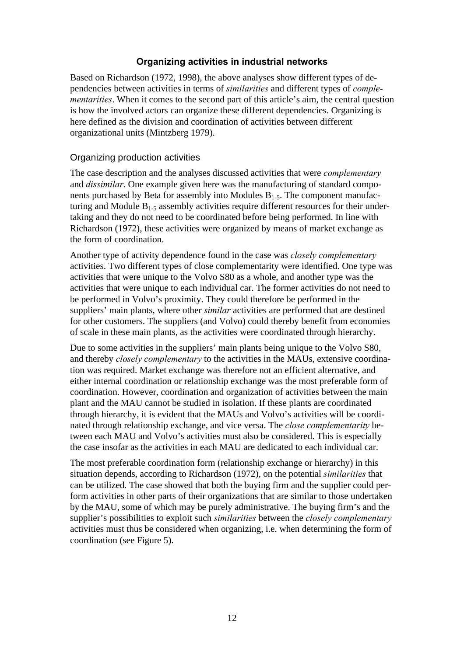# **Organizing activities in industrial networks**

Based on Richardson (1972, 1998), the above analyses show different types of dependencies between activities in terms of *similarities* and different types of *complementarities*. When it comes to the second part of this article's aim, the central question is how the involved actors can organize these different dependencies. Organizing is here defined as the division and coordination of activities between different organizational units (Mintzberg 1979).

# Organizing production activities

The case description and the analyses discussed activities that were *complementary* and *dissimilar*. One example given here was the manufacturing of standard components purchased by Beta for assembly into Modules  $B_{1.5}$ . The component manufacturing and Module  $B_{1-5}$  assembly activities require different resources for their undertaking and they do not need to be coordinated before being performed. In line with Richardson (1972), these activities were organized by means of market exchange as the form of coordination.

Another type of activity dependence found in the case was *closely complementary* activities. Two different types of close complementarity were identified. One type was activities that were unique to the Volvo S80 as a whole, and another type was the activities that were unique to each individual car. The former activities do not need to be performed in Volvo's proximity. They could therefore be performed in the suppliers' main plants, where other *similar* activities are performed that are destined for other customers. The suppliers (and Volvo) could thereby benefit from economies of scale in these main plants, as the activities were coordinated through hierarchy.

Due to some activities in the suppliers' main plants being unique to the Volvo S80, and thereby *closely complementary* to the activities in the MAUs, extensive coordination was required. Market exchange was therefore not an efficient alternative, and either internal coordination or relationship exchange was the most preferable form of coordination. However, coordination and organization of activities between the main plant and the MAU cannot be studied in isolation. If these plants are coordinated through hierarchy, it is evident that the MAUs and Volvo's activities will be coordinated through relationship exchange, and vice versa. The *close complementarity* between each MAU and Volvo's activities must also be considered. This is especially the case insofar as the activities in each MAU are dedicated to each individual car.

The most preferable coordination form (relationship exchange or hierarchy) in this situation depends, according to Richardson (1972), on the potential *similarities* that can be utilized. The case showed that both the buying firm and the supplier could perform activities in other parts of their organizations that are similar to those undertaken by the MAU, some of which may be purely administrative. The buying firm's and the supplier's possibilities to exploit such *similarities* between the *closely complementary* activities must thus be considered when organizing, i.e. when determining the form of coordination (see Figure 5).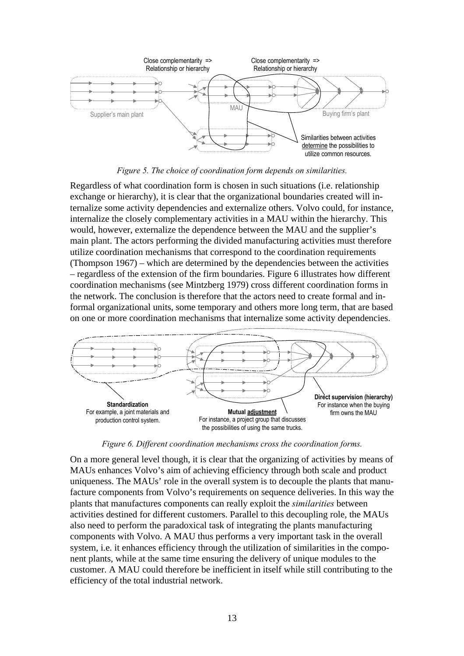

*Figure 5. The choice of coordination form depends on similarities.*

Regardless of what coordination form is chosen in such situations (i.e. relationship exchange or hierarchy), it is clear that the organizational boundaries created will internalize some activity dependencies and externalize others. Volvo could, for instance, internalize the closely complementary activities in a MAU within the hierarchy. This would, however, externalize the dependence between the MAU and the supplier's main plant. The actors performing the divided manufacturing activities must therefore utilize coordination mechanisms that correspond to the coordination requirements (Thompson 1967) – which are determined by the dependencies between the activities – regardless of the extension of the firm boundaries. Figure 6 illustrates how different coordination mechanisms (see Mintzberg 1979) cross different coordination forms in the network. The conclusion is therefore that the actors need to create formal and informal organizational units, some temporary and others more long term, that are based on one or more coordination mechanisms that internalize some activity dependencies.



*Figure 6. Different coordination mechanisms cross the coordination forms.*

On a more general level though, it is clear that the organizing of activities by means of MAUs enhances Volvo's aim of achieving efficiency through both scale and product uniqueness. The MAUs' role in the overall system is to decouple the plants that manufacture components from Volvo's requirements on sequence deliveries. In this way the plants that manufactures components can really exploit the *similarities* between activities destined for different customers. Parallel to this decoupling role, the MAUs also need to perform the paradoxical task of integrating the plants manufacturing components with Volvo. A MAU thus performs a very important task in the overall system, i.e. it enhances efficiency through the utilization of similarities in the component plants, while at the same time ensuring the delivery of unique modules to the customer. A MAU could therefore be inefficient in itself while still contributing to the efficiency of the total industrial network.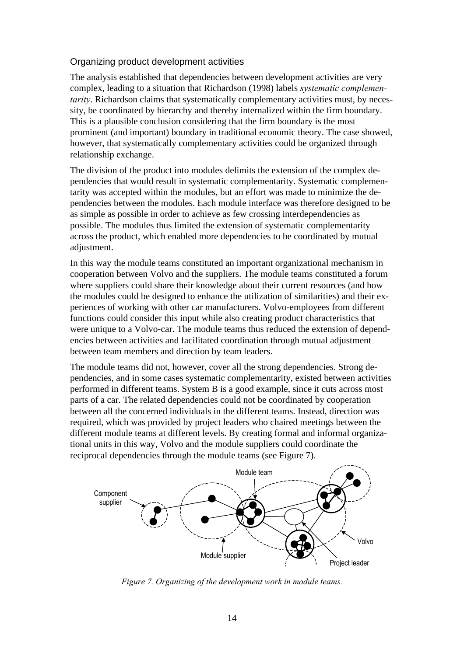# Organizing product development activities

The analysis established that dependencies between development activities are very complex, leading to a situation that Richardson (1998) labels *systematic complementarity*. Richardson claims that systematically complementary activities must, by necessity, be coordinated by hierarchy and thereby internalized within the firm boundary. This is a plausible conclusion considering that the firm boundary is the most prominent (and important) boundary in traditional economic theory. The case showed, however, that systematically complementary activities could be organized through relationship exchange.

The division of the product into modules delimits the extension of the complex dependencies that would result in systematic complementarity. Systematic complementarity was accepted within the modules, but an effort was made to minimize the dependencies between the modules. Each module interface was therefore designed to be as simple as possible in order to achieve as few crossing interdependencies as possible. The modules thus limited the extension of systematic complementarity across the product, which enabled more dependencies to be coordinated by mutual adjustment.

In this way the module teams constituted an important organizational mechanism in cooperation between Volvo and the suppliers. The module teams constituted a forum where suppliers could share their knowledge about their current resources (and how the modules could be designed to enhance the utilization of similarities) and their experiences of working with other car manufacturers. Volvo-employees from different functions could consider this input while also creating product characteristics that were unique to a Volvo-car. The module teams thus reduced the extension of dependencies between activities and facilitated coordination through mutual adjustment between team members and direction by team leaders.

The module teams did not, however, cover all the strong dependencies. Strong dependencies, and in some cases systematic complementarity, existed between activities performed in different teams. System B is a good example, since it cuts across most parts of a car. The related dependencies could not be coordinated by cooperation between all the concerned individuals in the different teams. Instead, direction was required, which was provided by project leaders who chaired meetings between the different module teams at different levels. By creating formal and informal organizational units in this way, Volvo and the module suppliers could coordinate the reciprocal dependencies through the module teams (see Figure 7).



*Figure 7. Organizing of the development work in module teams.*